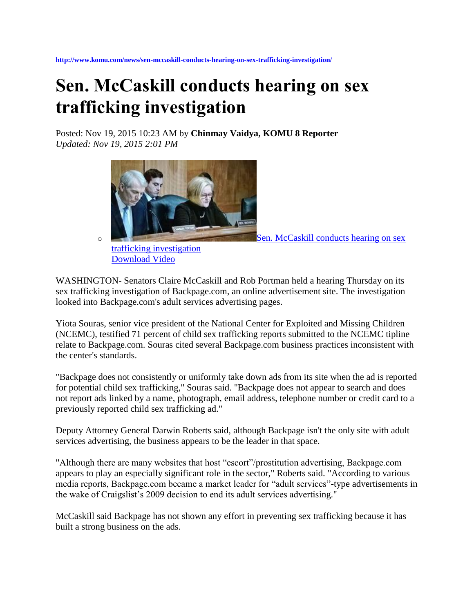## **Sen. McCaskill conducts hearing on sex trafficking investigation**

Posted: Nov 19, 2015 10:23 AM by **Chinmay Vaidya, KOMU 8 Reporter** *Updated: Nov 19, 2015 2:01 PM*



[Download Video](http://www.komu.com/news/sen-mccaskill-conducts-hearing-on-sex-trafficking-investigation/)

WASHINGTON- Senators Claire McCaskill and Rob Portman held a hearing Thursday on its sex trafficking investigation of Backpage.com, an online advertisement site. The investigation looked into Backpage.com's adult services advertising pages.

Yiota Souras, senior vice president of the National Center for Exploited and Missing Children (NCEMC), testified 71 percent of child sex trafficking reports submitted to the NCEMC tipline relate to Backpage.com. Souras cited several Backpage.com business practices inconsistent with the center's standards.

"Backpage does not consistently or uniformly take down ads from its site when the ad is reported for potential child sex trafficking," Souras said. "Backpage does not appear to search and does not report ads linked by a name, photograph, email address, telephone number or credit card to a previously reported child sex trafficking ad."

Deputy Attorney General Darwin Roberts said, although Backpage isn't the only site with adult services advertising, the business appears to be the leader in that space.

"Although there are many websites that host "escort"/prostitution advertising, Backpage.com appears to play an especially significant role in the sector," Roberts said. "According to various media reports, Backpage.com became a market leader for "adult services"-type advertisements in the wake of Craigslist's 2009 decision to end its adult services advertising."

McCaskill said Backpage has not shown any effort in preventing sex trafficking because it has built a strong business on the ads.